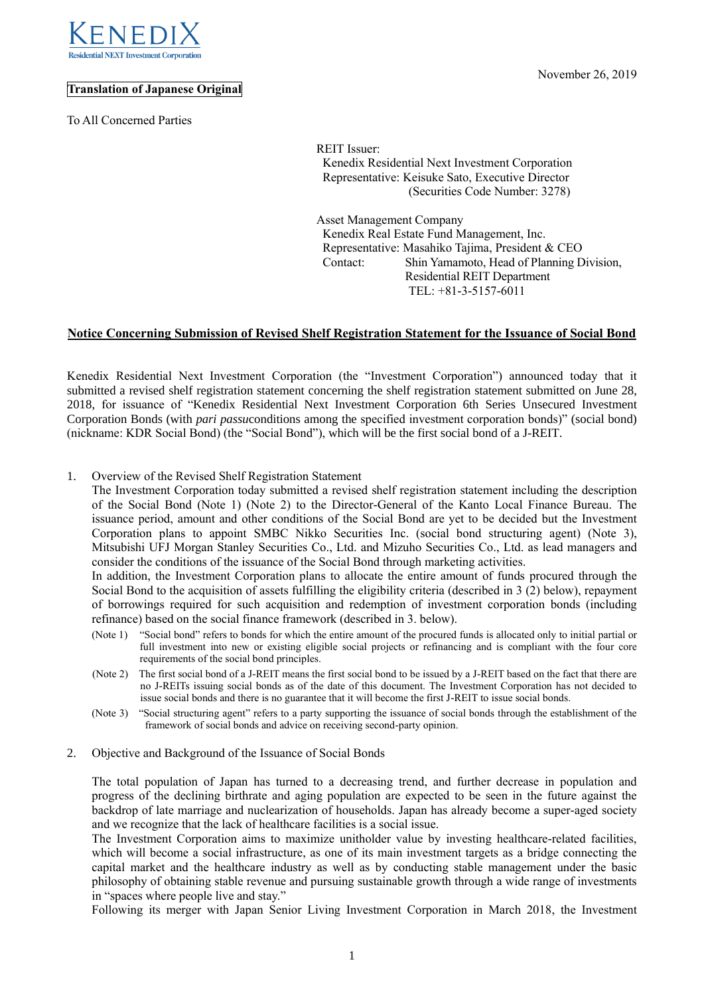

## **Translation of Japanese Original**

To All Concerned Parties

REIT Issuer: Kenedix Residential Next Investment Corporation Representative: Keisuke Sato, Executive Director (Securities Code Number: 3278)

Asset Management Company Kenedix Real Estate Fund Management, Inc. Representative: Masahiko Tajima, President & CEO Contact: Shin Yamamoto, Head of Planning Division, Residential REIT Department TEL: +81-3-5157-6011

## **Notice Concerning Submission of Revised Shelf Registration Statement for the Issuance of Social Bond**

Kenedix Residential Next Investment Corporation (the "Investment Corporation") announced today that it submitted a revised shelf registration statement concerning the shelf registration statement submitted on June 28, 2018, for issuance of "Kenedix Residential Next Investment Corporation 6th Series Unsecured Investment Corporation Bonds (with *pari passu*conditions among the specified investment corporation bonds)" (social bond) (nickname: KDR Social Bond) (the "Social Bond"), which will be the first social bond of a J-REIT.

1. Overview of the Revised Shelf Registration Statement

The Investment Corporation today submitted a revised shelf registration statement including the description of the Social Bond (Note 1) (Note 2) to the Director-General of the Kanto Local Finance Bureau. The issuance period, amount and other conditions of the Social Bond are yet to be decided but the Investment Corporation plans to appoint SMBC Nikko Securities Inc. (social bond structuring agent) (Note 3), Mitsubishi UFJ Morgan Stanley Securities Co., Ltd. and Mizuho Securities Co., Ltd. as lead managers and consider the conditions of the issuance of the Social Bond through marketing activities.

In addition, the Investment Corporation plans to allocate the entire amount of funds procured through the Social Bond to the acquisition of assets fulfilling the eligibility criteria (described in 3 (2) below), repayment of borrowings required for such acquisition and redemption of investment corporation bonds (including refinance) based on the social finance framework (described in 3. below).

- (Note 1) "Social bond" refers to bonds for which the entire amount of the procured funds is allocated only to initial partial or full investment into new or existing eligible social projects or refinancing and is compliant with the four core requirements of the social bond principles.
- (Note 2) The first social bond of a J-REIT means the first social bond to be issued by a J-REIT based on the fact that there are no J-REITs issuing social bonds as of the date of this document. The Investment Corporation has not decided to issue social bonds and there is no guarantee that it will become the first J-REIT to issue social bonds.
- (Note 3) "Social structuring agent" refers to a party supporting the issuance of social bonds through the establishment of the framework of social bonds and advice on receiving second-party opinion.
- 2. Objective and Background of the Issuance of Social Bonds

The total population of Japan has turned to a decreasing trend, and further decrease in population and progress of the declining birthrate and aging population are expected to be seen in the future against the backdrop of late marriage and nuclearization of households. Japan has already become a super-aged society and we recognize that the lack of healthcare facilities is a social issue.

The Investment Corporation aims to maximize unitholder value by investing healthcare-related facilities, which will become a social infrastructure, as one of its main investment targets as a bridge connecting the capital market and the healthcare industry as well as by conducting stable management under the basic philosophy of obtaining stable revenue and pursuing sustainable growth through a wide range of investments in "spaces where people live and stay."

Following its merger with Japan Senior Living Investment Corporation in March 2018, the Investment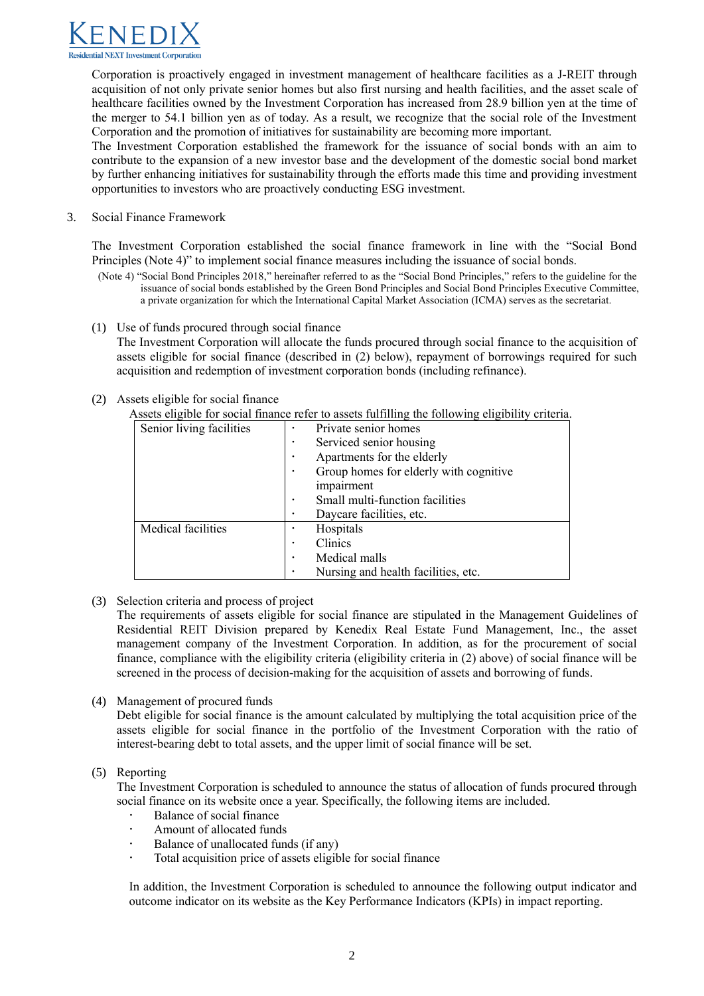

Corporation is proactively engaged in investment management of healthcare facilities as a J-REIT through acquisition of not only private senior homes but also first nursing and health facilities, and the asset scale of healthcare facilities owned by the Investment Corporation has increased from 28.9 billion yen at the time of the merger to 54.1 billion yen as of today. As a result, we recognize that the social role of the Investment Corporation and the promotion of initiatives for sustainability are becoming more important.

The Investment Corporation established the framework for the issuance of social bonds with an aim to contribute to the expansion of a new investor base and the development of the domestic social bond market by further enhancing initiatives for sustainability through the efforts made this time and providing investment opportunities to investors who are proactively conducting ESG investment.

3. Social Finance Framework

The Investment Corporation established the social finance framework in line with the "Social Bond Principles (Note 4)" to implement social finance measures including the issuance of social bonds.

- (Note 4) "Social Bond Principles 2018," hereinafter referred to as the "Social Bond Principles," refers to the guideline for the issuance of social bonds established by the Green Bond Principles and Social Bond Principles Executive Committee, a private organization for which the International Capital Market Association (ICMA) serves as the secretariat.
- (1) Use of funds procured through social finance

The Investment Corporation will allocate the funds procured through social finance to the acquisition of assets eligible for social finance (described in (2) below), repayment of borrowings required for such acquisition and redemption of investment corporation bonds (including refinance).

- (2) Assets eligible for social finance
	- Assets eligible for social finance refer to assets fulfilling the following eligibility criteria.

| Senior living facilities | Private senior homes                   |
|--------------------------|----------------------------------------|
|                          | Serviced senior housing<br>٠           |
|                          | Apartments for the elderly             |
|                          | Group homes for elderly with cognitive |
|                          | impairment                             |
|                          | Small multi-function facilities        |
|                          | Daycare facilities, etc.               |
| Medical facilities       | Hospitals                              |
|                          | Clinics                                |
|                          | Medical malls                          |
|                          | Nursing and health facilities, etc.    |

(3) Selection criteria and process of project

 The requirements of assets eligible for social finance are stipulated in the Management Guidelines of Residential REIT Division prepared by Kenedix Real Estate Fund Management, Inc., the asset management company of the Investment Corporation. In addition, as for the procurement of social finance, compliance with the eligibility criteria (eligibility criteria in (2) above) of social finance will be screened in the process of decision-making for the acquisition of assets and borrowing of funds.

(4) Management of procured funds

Debt eligible for social finance is the amount calculated by multiplying the total acquisition price of the assets eligible for social finance in the portfolio of the Investment Corporation with the ratio of interest-bearing debt to total assets, and the upper limit of social finance will be set.

## (5) Reporting

The Investment Corporation is scheduled to announce the status of allocation of funds procured through social finance on its website once a year. Specifically, the following items are included.

- Balance of social finance
- Amount of allocated funds
- Balance of unallocated funds (if any)
- Total acquisition price of assets eligible for social finance

In addition, the Investment Corporation is scheduled to announce the following output indicator and outcome indicator on its website as the Key Performance Indicators (KPIs) in impact reporting.